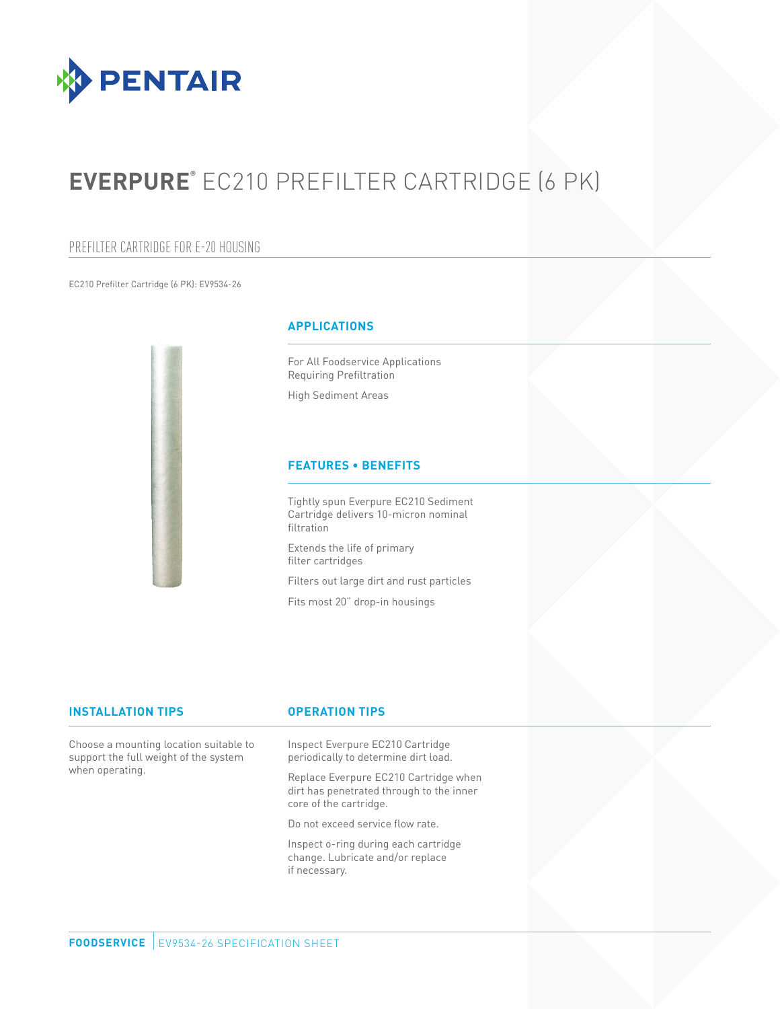

# **EVERPURE®** EC210 PREFILTER CARTRIDGE (6 PK)

# PREFILTER CARTRIDGE FOR E-20 HOUSING

EC210 Prefilter Cartridge (6 PK): EV9534-26



# **APPLICATIONS**

For All Foodservice Applications Requiring Prefiltration

High Sediment Areas

# **FEATURES • BENEFITS**

Tightly spun Everpure EC210 Sediment Cartridge delivers 10-micron nominal filtration

Extends the life of primary filter cartridges

Filters out large dirt and rust particles

Fits most 20" drop-in housings

### **INSTALLATION TIPS OPERATION TIPS**

Choose a mounting location suitable to support the full weight of the system when operating.

Inspect Everpure EC210 Cartridge periodically to determine dirt load.

Replace Everpure EC210 Cartridge when dirt has penetrated through to the inner core of the cartridge.

Do not exceed service flow rate.

Inspect o-ring during each cartridge change. Lubricate and/or replace if necessary.